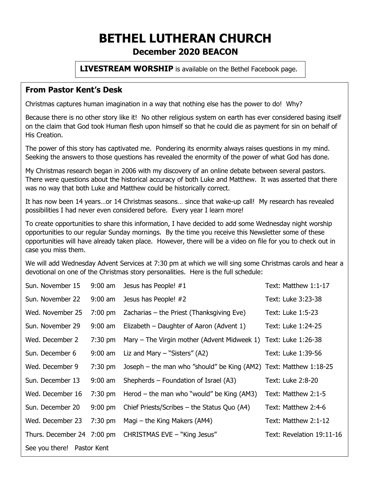# **BETHEL LUTHERAN CHURCH December 2020 BEACON**

**LIVESTREAM WORSHIP** is available on the Bethel Facebook page.

# **From Pastor Kent's Desk**

Christmas captures human imagination in a way that nothing else has the power to do! Why?

Because there is no other story like it! No other religious system on earth has ever considered basing itself on the claim that God took Human flesh upon himself so that he could die as payment for sin on behalf of His Creation.

The power of this story has captivated me. Pondering its enormity always raises questions in my mind. Seeking the answers to those questions has revealed the enormity of the power of what God has done.

My Christmas research began in 2006 with my discovery of an online debate between several pastors. There were questions about the historical accuracy of both Luke and Matthew. It was asserted that there was no way that both Luke and Matthew could be historically correct.

It has now been 14 years…or 14 Christmas seasons… since that wake-up call! My research has revealed possibilities I had never even considered before. Every year I learn more!

To create opportunities to share this information, I have decided to add some Wednesday night worship opportunities to our regular Sunday mornings. By the time you receive this Newsletter some of these opportunities will have already taken place. However, there will be a video on file for you to check out in case you miss them.

We will add Wednesday Advent Services at 7:30 pm at which we will sing some Christmas carols and hear a devotional on one of the Christmas story personalities. Here is the full schedule:

| Sun. November 15           | $9:00$ am         | Jesus has People! #1                                              | Text: Matthew 1:1-17      |  |  |
|----------------------------|-------------------|-------------------------------------------------------------------|---------------------------|--|--|
| Sun. November 22           | $9:00$ am         | Jesus has People! #2                                              | Text: Luke 3:23-38        |  |  |
| Wed. November 25           | $7:00 \text{ pm}$ | Zacharias $-$ the Priest (Thanksgiving Eve)                       | Text: Luke 1:5-23         |  |  |
| Sun. November 29           | $9:00$ am         | Elizabeth – Daughter of Aaron (Advent 1)                          | Text: Luke 1:24-25        |  |  |
| Wed. December 2            | $7:30$ pm         | Mary – The Virgin mother (Advent Midweek 1) Text: Luke 1:26-38    |                           |  |  |
| Sun. December 6            | $9:00$ am         | Liz and Mary $-$ "Sisters" (A2)                                   | Text: Luke 1:39-56        |  |  |
| Wed. December 9            | $7:30$ pm         | Joseph – the man who "should" be King (AM2) Text: Matthew 1:18-25 |                           |  |  |
| Sun. December 13           | $9:00$ am         | Shepherds – Foundation of Israel (A3)                             | Text: Luke 2:8-20         |  |  |
| Wed. December 16           | $7:30$ pm         | Herod – the man who "would" be King $(AM3)$                       | Text: Matthew 2:1-5       |  |  |
| Sun. December 20           | $9:00$ pm         | Chief Priests/Scribes $-$ the Status Quo (A4)                     | Text: Matthew 2:4-6       |  |  |
| Wed. December 23           | $7:30$ pm         | Magi – the King Makers (AM4)                                      | Text: Matthew 2:1-12      |  |  |
| Thurs. December 24 7:00 pm |                   | CHRISTMAS EVE - "King Jesus"                                      | Text: Revelation 19:11-16 |  |  |
| See you there! Pastor Kent |                   |                                                                   |                           |  |  |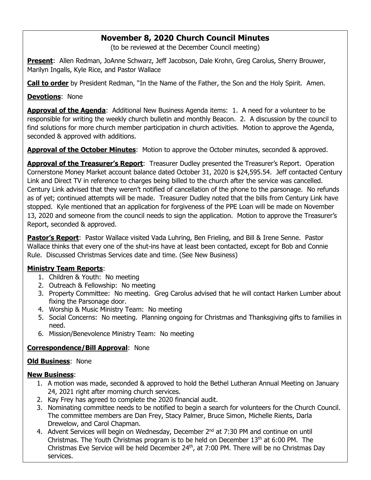## **November 8, 2020 Church Council Minutes**

(to be reviewed at the December Council meeting)

**Present**: Allen Redman, JoAnne Schwarz, Jeff Jacobson, Dale Krohn, Greg Carolus, Sherry Brouwer, Marilyn Ingalls, Kyle Rice, and Pastor Wallace

**Call to order** by President Redman, "In the Name of the Father, the Son and the Holy Spirit. Amen.

**Devotions**: None

**Approval of the Agenda**: Additional New Business Agenda items: 1. A need for a volunteer to be responsible for writing the weekly church bulletin and monthly Beacon. 2. A discussion by the council to find solutions for more church member participation in church activities. Motion to approve the Agenda, seconded & approved with additions.

**Approval of the October Minutes**: Motion to approve the October minutes, seconded & approved.

**Approval of the Treasurer's Report**: Treasurer Dudley presented the Treasurer's Report. Operation Cornerstone Money Market account balance dated October 31, 2020 is \$24,595.54. Jeff contacted Century Link and Direct TV in reference to charges being billed to the church after the service was cancelled. Century Link advised that they weren't notified of cancellation of the phone to the parsonage. No refunds as of yet; continued attempts will be made. Treasurer Dudley noted that the bills from Century Link have stopped. Kyle mentioned that an application for forgiveness of the PPE Loan will be made on November 13, 2020 and someone from the council needs to sign the application. Motion to approve the Treasurer's Report, seconded & approved.

**Pastor's Report**: Pastor Wallace visited Vada Luhring, Ben Frieling, and Bill & Irene Senne. Pastor Wallace thinks that every one of the shut-ins have at least been contacted, except for Bob and Connie Rule. Discussed Christmas Services date and time. (See New Business)

#### **Ministry Team Reports**:

- 1. Children & Youth: No meeting
- 2. Outreach & Fellowship: No meeting
- 3. Property Committee: No meeting. Greg Carolus advised that he will contact Harken Lumber about fixing the Parsonage door.
- 4. Worship & Music Ministry Team: No meeting
- 5. Social Concerns: No meeting. Planning ongoing for Christmas and Thanksgiving gifts to families in need.
- 6. Mission/Benevolence Ministry Team: No meeting

#### **Correspondence/Bill Approval**: None

#### **Old Business**:None

#### **New Business**:

- 1. A motion was made, seconded & approved to hold the Bethel Lutheran Annual Meeting on January 24, 2021 right after morning church services.
- 2. Kay Frey has agreed to complete the 2020 financial audit.
- 3. Nominating committee needs to be notified to begin a search for volunteers for the Church Council. The committee members are Dan Frey, Stacy Palmer, Bruce Simon, Michelle Rients, Darla Drewelow, and Carol Chapman.
- 4. Advent Services will begin on Wednesday, December  $2^{nd}$  at 7:30 PM and continue on until Christmas. The Youth Christmas program is to be held on December  $13<sup>th</sup>$  at 6:00 PM. The Christmas Eve Service will be held December 24<sup>th</sup>, at 7:00 PM. There will be no Christmas Day services.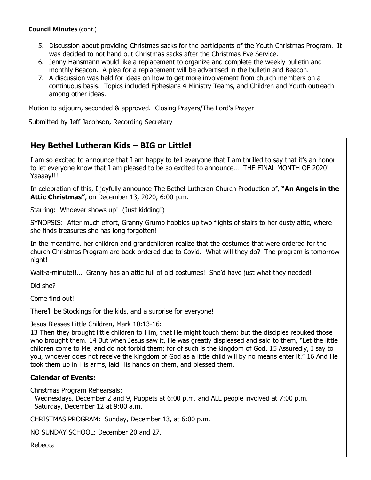**Council Minutes** (cont.)

- 5. Discussion about providing Christmas sacks for the participants of the Youth Christmas Program. It was decided to not hand out Christmas sacks after the Christmas Eve Service.
- 6. Jenny Hansmann would like a replacement to organize and complete the weekly bulletin and monthly Beacon. A plea for a replacement will be advertised in the bulletin and Beacon.
- 7. A discussion was held for ideas on how to get more involvement from church members on a continuous basis. Topics included Ephesians 4 Ministry Teams, and Children and Youth outreach among other ideas.

Motion to adjourn, seconded & approved. Closing Prayers/The Lord's Prayer

Submitted by Jeff Jacobson, Recording Secretary

## **Hey Bethel Lutheran Kids – BIG or Little!**

I am so excited to announce that I am happy to tell everyone that I am thrilled to say that it's an honor to let everyone know that I am pleased to be so excited to announce… THE FINAL MONTH OF 2020! Yaaaay!!!

In celebration of this, I joyfully announce The Bethel Lutheran Church Production of, **"An Angels in the Attic Christmas"**, on December 13, 2020, 6:00 p.m.

Starring: Whoever shows up! (Just kidding!)

SYNOPSIS: After much effort, Granny Grump hobbles up two flights of stairs to her dusty attic, where she finds treasures she has long forgotten!

In the meantime, her children and grandchildren realize that the costumes that were ordered for the church Christmas Program are back-ordered due to Covid. What will they do? The program is tomorrow night!

Wait-a-minute!!... Granny has an attic full of old costumes! She'd have just what they needed!

Did she?

Come find out!

There'll be Stockings for the kids, and a surprise for everyone!

Jesus Blesses Little Children, Mark 10:13-16:

13 Then they brought little children to Him, that He might touch them; but the disciples rebuked those who brought them. 14 But when Jesus saw it, He was greatly displeased and said to them, "Let the little children come to Me, and do not forbid them; for of such is the kingdom of God. 15 Assuredly, I say to you, whoever does not receive the kingdom of God as a little child will by no means enter it." 16 And He took them up in His arms, laid His hands on them, and blessed them.

#### **Calendar of Events:**

Christmas Program Rehearsals:

 Wednesdays, December 2 and 9, Puppets at 6:00 p.m. and ALL people involved at 7:00 p.m. Saturday, December 12 at 9:00 a.m.

CHRISTMAS PROGRAM: Sunday, December 13, at 6:00 p.m.

NO SUNDAY SCHOOL: December 20 and 27.

Rebecca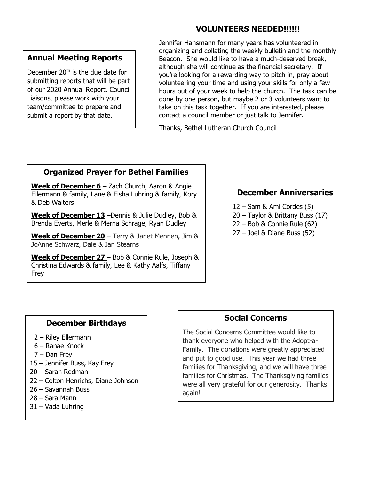# **VOLUNTEERS NEEDED!!!!!!**

### **Annual Meeting Reports**

December  $20<sup>th</sup>$  is the due date for submitting reports that will be part of our 2020 Annual Report. Council Liaisons, please work with your team/committee to prepare and submit a report by that date.

Jennifer Hansmann for many years has volunteered in organizing and collating the weekly bulletin and the monthly Beacon. She would like to have a much-deserved break, although she will continue as the financial secretary. If you're looking for a rewarding way to pitch in, pray about volunteering your time and using your skills for only a few hours out of your week to help the church. The task can be done by one person, but maybe 2 or 3 volunteers want to take on this task together. If you are interested, please contact a council member or just talk to Jennifer.

Thanks, Bethel Lutheran Church Council

# **Organized Prayer for Bethel Families**

**Week of December 6** – Zach Church, Aaron & Angie Ellermann & family, Lane & Eisha Luhring & family, Kory & Deb Walters

**Week of December 13** –Dennis & Julie Dudley, Bob & Brenda Everts, Merle & Merna Schrage, Ryan Dudley

**Week of December 20** – Terry & Janet Mennen, Jim & JoAnne Schwarz, Dale & Jan Stearns

**Week of December 27** – Bob & Connie Rule, Joseph & Christina Edwards & family, Lee & Kathy Aalfs, Tiffany Frey

### **December Anniversaries**

- 12 Sam & Ami Cordes (5)
- 20 Taylor & Brittany Buss (17)
- 22 Bob & Connie Rule (62)
- 27 Joel & Diane Buss (52)

### **December Birthdays**

- 2 Riley Ellermann
- 6 Ranae Knock
- 7 Dan Frey
- 15 Jennifer Buss, Kay Frey
- 20 Sarah Redman
- 22 Colton Henrichs, Diane Johnson
- 26 Savannah Buss
- 28 Sara Mann
- 31 Vada Luhring

#### **Social Concerns**

The Social Concerns Committee would like to thank everyone who helped with the Adopt-a-Family. The donations were greatly appreciated and put to good use. This year we had three families for Thanksgiving, and we will have three families for Christmas. The Thanksgiving families were all very grateful for our generosity. Thanks again!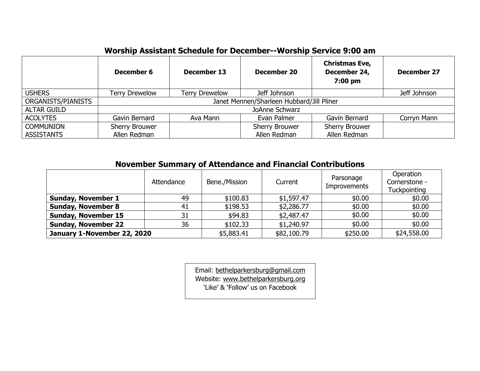# **Worship Assistant Schedule for December--Worship Service 9:00 am**

|                    | December 6                                | December 13           | <b>December 20</b>    | <b>Christmas Eve,</b><br>December 24,<br>$7:00$ pm | <b>December 27</b> |  |
|--------------------|-------------------------------------------|-----------------------|-----------------------|----------------------------------------------------|--------------------|--|
| <b>USHERS</b>      | <b>Terry Drewelow</b>                     | <b>Terry Drewelow</b> | Jeff Johnson          |                                                    | Jeff Johnson       |  |
| ORGANISTS/PIANISTS | Janet Mennen/Sharleen Hubbard/Jill Pliner |                       |                       |                                                    |                    |  |
| <b>ALTAR GUILD</b> | JoAnne Schwarz                            |                       |                       |                                                    |                    |  |
| <b>ACOLYTES</b>    | Gavin Bernard                             | Ava Mann              | Evan Palmer           | Gavin Bernard                                      | Corryn Mann        |  |
| <b>COMMUNION</b>   | Sherry Brouwer                            |                       | <b>Sherry Brouwer</b> | Sherry Brouwer                                     |                    |  |
| <b>ASSISTANTS</b>  | Allen Redman                              |                       | Allen Redman          | Allen Redman                                       |                    |  |

# **November Summary of Attendance and Financial Contributions**

|                             | Attendance | Bene./Mission | Current     | Parsonage<br>Improvements | Operation<br>Cornerstone -<br><b>Tuckpointing</b> |
|-----------------------------|------------|---------------|-------------|---------------------------|---------------------------------------------------|
| <b>Sunday, November 1</b>   | 49         | \$100.83      | \$1,597.47  | \$0.00                    | \$0.00                                            |
| <b>Sunday, November 8</b>   | 41         | \$198.53      | \$2,286.77  | \$0.00                    | \$0.00                                            |
| <b>Sunday, November 15</b>  | 31         | \$94.83       | \$2,487.47  | \$0.00                    | \$0.00                                            |
| <b>Sunday, November 22</b>  | 36         | \$102.33      | \$1,240.97  | \$0.00                    | \$0.00                                            |
| January 1-November 22, 2020 |            | \$5,883.41    | \$82,100.79 | \$250.00                  | \$24,558.00                                       |

Email: bethelparkersburg@gmail.com Website: www.bethelparkersburg.org 'Like' & 'Follow' us on Facebook